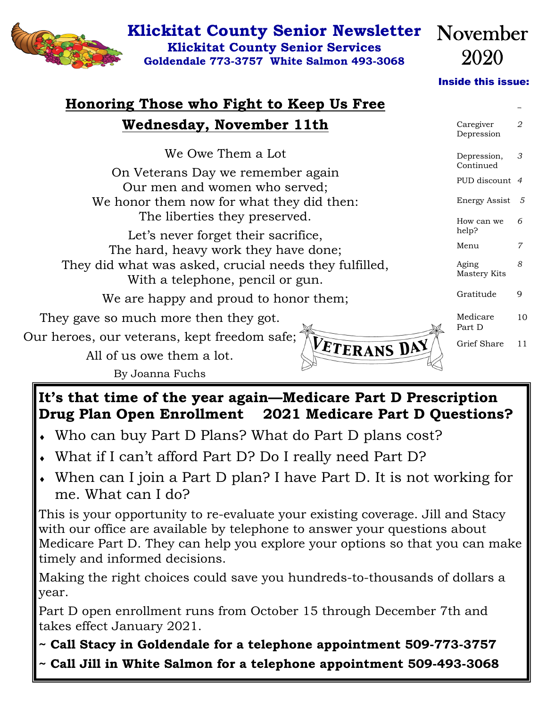

### **Klickitat County Senior Newsletter Klickitat County Senior Services**

**Goldendale 773-3757 White Salmon 493-3068** 

Inside this issue:

*2 2* 

Caregiver

November

2020

## **Honoring Those who Fight to Keep Us Free Wednesday, November 11th**

|                                                                                            | Depression               |    |
|--------------------------------------------------------------------------------------------|--------------------------|----|
| We Owe Them a Lot                                                                          | Depression,<br>Continued | 3  |
| On Veterans Day we remember again<br>Our men and women who served;                         | PUD discount 4           |    |
| We honor them now for what they did then:                                                  | Energy Assist 5          |    |
| The liberties they preserved.                                                              | How can we<br>help?      | 6  |
| Let's never forget their sacrifice,<br>The hard, heavy work they have done;                | Menu                     | 7  |
| They did what was asked, crucial needs they fulfilled,<br>With a telephone, pencil or gun. | Aging<br>Mastery Kits    | 8  |
| We are happy and proud to honor them;                                                      | Gratitude                | 9  |
| They gave so much more then they got.                                                      | Medicare<br>Part D       | 10 |
| Our heroes, our veterans, kept freedom safe;<br>VETERANS DAY                               | Grief Share              | 11 |
| All of us owe them a lot.                                                                  |                          |    |
| By Joanna Fuchs                                                                            |                          |    |

#### **It's that time of the year again—Medicare Part D Prescription Drug Plan Open Enrollment 2021 Medicare Part D Questions?**

- Who can buy Part D Plans? What do Part D plans cost?
- What if I can't afford Part D? Do I really need Part D?
- When can I join a Part D plan? I have Part D. It is not working for me. What can I do?

This is your opportunity to re-evaluate your existing coverage. Jill and Stacy with our office are available by telephone to answer your questions about Medicare Part D. They can help you explore your options so that you can make timely and informed decisions.

Making the right choices could save you hundreds-to-thousands of dollars a year.

Part D open enrollment runs from October 15 through December 7th and takes effect January 2021.

- **~ Call Stacy in Goldendale for a telephone appointment 509-773-3757**
- **~ Call Jill in White Salmon for a telephone appointment 509-493-3068**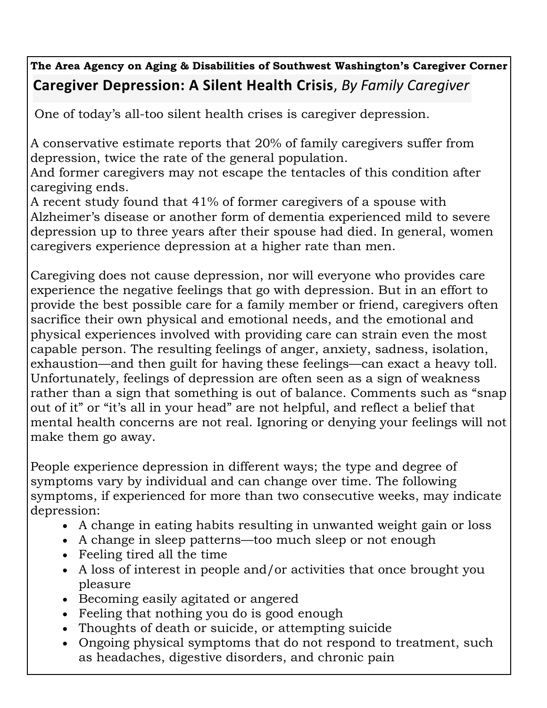## **The Area Agency on Aging & Disabilities of Southwest Washington's Caregiver Corner Caregiver Depression: A Silent Health Crisis**, *By Family Caregiver*

One of today's all-too silent health crises is caregiver depression.

A conservative estimate reports that 20% of family caregivers suffer from depression, twice the rate of the general population.

And former caregivers may not escape the tentacles of this condition after caregiving ends.

A recent study found that 41% of former caregivers of a spouse with Alzheimer's disease or another form of dementia experienced mild to severe depression up to three years after their spouse had died. In general, women caregivers experience depression at a higher rate than men.

Caregiving does not cause depression, nor will everyone who provides care experience the negative feelings that go with depression. But in an effort to provide the best possible care for a family member or friend, caregivers often sacrifice their own physical and emotional needs, and the emotional and physical experiences involved with providing care can strain even the most capable person. The resulting feelings of anger, anxiety, sadness, isolation, exhaustion—and then guilt for having these feelings—can exact a heavy toll. Unfortunately, feelings of depression are often seen as a sign of weakness rather than a sign that something is out of balance. Comments such as "snap out of it" or "it's all in your head" are not helpful, and reflect a belief that mental health concerns are not real. Ignoring or denying your feelings will not make them go away.

People experience depression in different ways; the type and degree of symptoms vary by individual and can change over time. The following symptoms, if experienced for more than two consecutive weeks, may indicate depression:

- A change in eating habits resulting in unwanted weight gain or loss
- A change in sleep patterns—too much sleep or not enough
- Feeling tired all the time
- A loss of interest in people and/or activities that once brought you pleasure
- Becoming easily agitated or angered
- Feeling that nothing you do is good enough
- Thoughts of death or suicide, or attempting suicide
- Ongoing physical symptoms that do not respond to treatment, such as headaches, digestive disorders, and chronic pain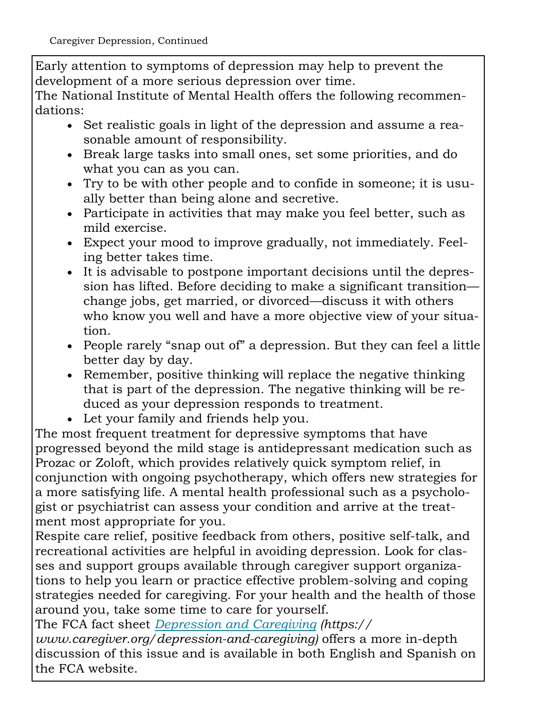Early attention to symptoms of depression may help to prevent the development of a more serious depression over time.

The National Institute of Mental Health offers the following recommendations:

- Set realistic goals in light of the depression and assume a reasonable amount of responsibility.
- Break large tasks into small ones, set some priorities, and do what you can as you can.
- Try to be with other people and to confide in someone; it is usually better than being alone and secretive.
- Participate in activities that may make you feel better, such as mild exercise.
- Expect your mood to improve gradually, not immediately. Feeling better takes time.
- It is advisable to postpone important decisions until the depression has lifted. Before deciding to make a significant transition change jobs, get married, or divorced—discuss it with others who know you well and have a more objective view of your situation.
- People rarely "snap out of" a depression. But they can feel a little better day by day.
- Remember, positive thinking will replace the negative thinking that is part of the depression. The negative thinking will be reduced as your depression responds to treatment.
- Let your family and friends help you.

The most frequent treatment for depressive symptoms that have progressed beyond the mild stage is antidepressant medication such as Prozac or Zoloft, which provides relatively quick symptom relief, in conjunction with ongoing psychotherapy, which offers new strategies for a more satisfying life. A mental health professional such as a psychologist or psychiatrist can assess your condition and arrive at the treatment most appropriate for you.

Respite care relief, positive feedback from others, positive self-talk, and recreational activities are helpful in avoiding depression. Look for classes and support groups available through caregiver support organizations to help you learn or practice effective problem-solving and coping strategies needed for caregiving. For your health and the health of those around you, take some time to care for yourself.

The FCA fact sheet *Depression and Caregiving (https:// www.caregiver.org/depression-and-caregiving)* offers a more in-depth discussion of this issue and is available in both English and Spanish on the FCA website.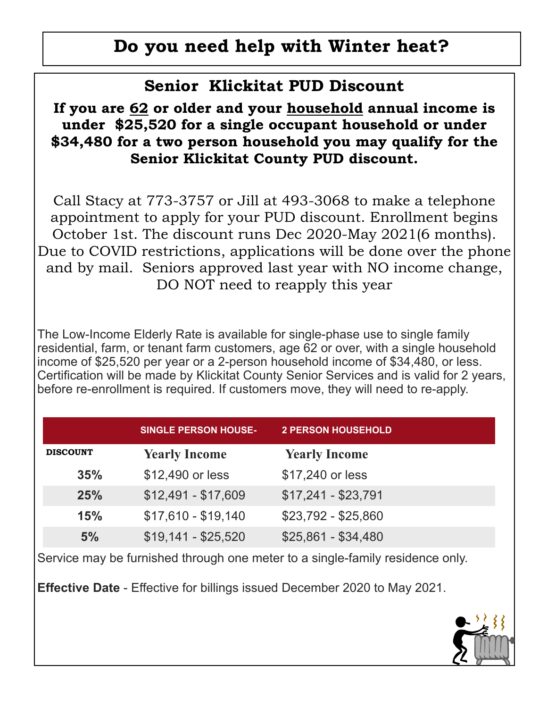## **Do you need help with Winter heat?**

## **Senior Klickitat PUD Discount**

#### **If you are 62 or older and your household annual income is under \$25,520 for a single occupant household or under \$34,480 for a two person household you may qualify for the Senior Klickitat County PUD discount.**

Call Stacy at 773-3757 or Jill at 493-3068 to make a telephone appointment to apply for your PUD discount. Enrollment begins October 1st. The discount runs Dec 2020-May 2021(6 months). Due to COVID restrictions, applications will be done over the phone and by mail. Seniors approved last year with NO income change, DO NOT need to reapply this year

The Low-Income Elderly Rate is available for single-phase use to single family residential, farm, or tenant farm customers, age 62 or over, with a single household income of \$25,520 per year or a 2-person household income of \$34,480, or less. Certification will be made by Klickitat County Senior Services and is valid for 2 years, before re-enrollment is required. If customers move, they will need to re-apply.

|                 | <b>SINGLE PERSON HOUSE-</b> | <b>2 PERSON HOUSEHOLD</b> |  |
|-----------------|-----------------------------|---------------------------|--|
| <b>DISCOUNT</b> | <b>Yearly Income</b>        | <b>Yearly Income</b>      |  |
| 35%             | \$12,490 or less            | \$17,240 or less          |  |
| 25%             | $$12,491 - $17,609$         | $$17,241 - $23,791$       |  |
| <b>15%</b>      | $$17,610 - $19,140$         | $$23,792 - $25,860$       |  |
| 5%              | $$19,141 - $25,520$         | $$25,861 - $34,480$       |  |

Service may be furnished through one meter to a single-family residence only.

**Effective Date** - Effective for billings issued December 2020 to May 2021.

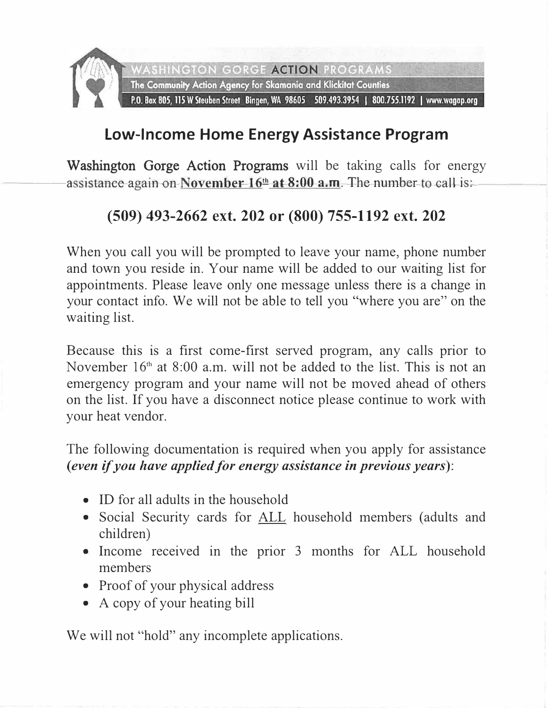

## **Low-Income Home Energy Assistance Program**

Washington Gorge Action Programs will be taking calls for energy assistance-again on-November-16<sup>th</sup> at 8:00 a.m. The number-to-call-is:-

## **(509) 493-2662 ext. 202 or (800) 755-1192 ext. 202**

When you call you will be prompted to leave your name, phone number and town you reside in. Your name will be added to our waiting list for appointments. Please leave only one message unless there is a change in your contact info. We will not be able to tell you "where you are" on the waiting list.

Because this is a first come-first served program, any calls prior to November 16<sup>th</sup> at 8:00 a.m. will not be added to the list. This is not an emergency program and your name will not be moved ahead of others on the list. If you have a disconnect notice please continue to work with your heat vendor.

The following documentation is required when you apply for assistance *(even if you have applied for energy assistance in previous years):* 

- ID for all adults in the household
- Social Security cards for ALL household members (adults and children)
- Income received in the prior 3 months for ALL household members
- Proof of your physical address
- A copy of your heating bill

We will not "hold" any incomplete applications.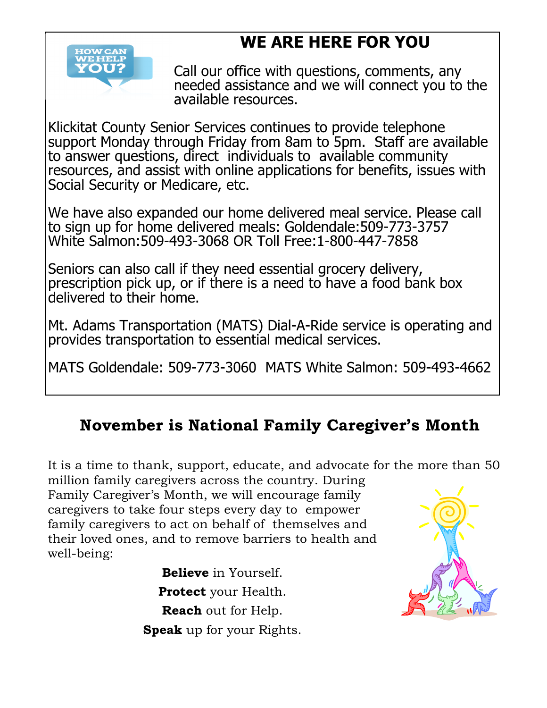## **WE ARE HERE FOR YOU**



Call our office with questions, comments, any needed assistance and we will connect you to the available resources.

Klickitat County Senior Services continues to provide telephone support Monday through Friday from 8am to 5pm. Staff are available to answer questions, direct individuals to available community resources, and assist with online applications for benefits, issues with Social Security or Medicare, etc.

We have also expanded our home delivered meal service. Please call to sign up for home delivered meals: Goldendale:509-773-3757 White Salmon:509-493-3068 OR Toll Free:1-800-447-7858

Seniors can also call if they need essential grocery delivery, prescription pick up, or if there is a need to have a food bank box delivered to their home.

Mt. Adams Transportation (MATS) Dial-A-Ride service is operating and provides transportation to essential medical services.

MATS Goldendale: 509-773-3060 MATS White Salmon: 509-493-4662

## **November is National Family Caregiver's Month**

It is a time to thank, support, educate, and advocate for the more than 50 million family caregivers across the country. During Family Caregiver's Month, we will encourage family caregivers to take four steps every day to empower

family caregivers to act on behalf of themselves and their loved ones, and to remove barriers to health and well-being:

> **Believe** in Yourself. **Protect** your Health. **Reach** out for Help. **Speak** up for your Rights.

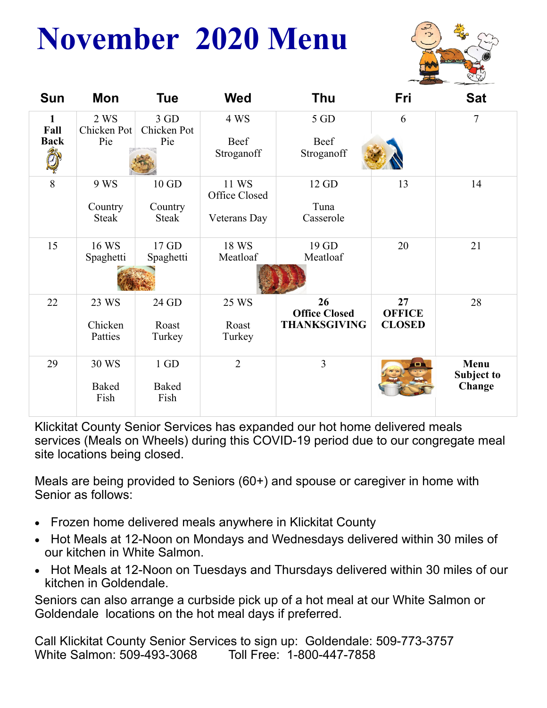# **November 2020 Menu**



| <b>Sun</b>                                          | Mon                         | <b>Tue</b>                   | <b>Wed</b>                             | <b>Thu</b>                                        | Fri                                  | <b>Sat</b>                   |
|-----------------------------------------------------|-----------------------------|------------------------------|----------------------------------------|---------------------------------------------------|--------------------------------------|------------------------------|
| $\mathbf{1}$<br>Fall<br><b>Back</b><br>$\mathbb{R}$ | 2 WS<br>Chicken Pot<br>Pie  | 3 GD<br>Chicken Pot<br>Pie   | 4 WS<br>Beef<br>Stroganoff             | 5 GD<br>Beef<br>Stroganoff                        | 6                                    | $\overline{7}$               |
| 8                                                   | 9 WS<br>Country<br>Steak    | 10 GD<br>Country<br>Steak    | 11 WS<br>Office Closed<br>Veterans Day | 12 GD<br>Tuna<br>Casserole                        | 13                                   | 14                           |
| 15                                                  | 16 WS<br>Spaghetti          | 17 GD<br>Spaghetti           | 18 WS<br>Meatloaf                      | 19 GD<br>Meatloaf                                 | 20                                   | 21                           |
| 22                                                  | 23 WS<br>Chicken<br>Patties | 24 GD<br>Roast<br>Turkey     | 25 WS<br>Roast<br>Turkey               | 26<br><b>Office Closed</b><br><b>THANKSGIVING</b> | 27<br><b>OFFICE</b><br><b>CLOSED</b> | 28                           |
| 29                                                  | 30 WS<br>Baked<br>Fish      | 1 GD<br><b>Baked</b><br>Fish | $\overline{2}$                         | $\overline{3}$                                    |                                      | Menu<br>Subject to<br>Change |

Klickitat County Senior Services has expanded our hot home delivered meals services (Meals on Wheels) during this COVID-19 period due to our congregate meal site locations being closed.

Meals are being provided to Seniors (60+) and spouse or caregiver in home with Senior as follows:

- Frozen home delivered meals anywhere in Klickitat County
- Hot Meals at 12-Noon on Mondays and Wednesdays delivered within 30 miles of our kitchen in White Salmon.
- Hot Meals at 12-Noon on Tuesdays and Thursdays delivered within 30 miles of our kitchen in Goldendale.

Seniors can also arrange a curbside pick up of a hot meal at our White Salmon or Goldendale locations on the hot meal days if preferred.

Call Klickitat County Senior Services to sign up: Goldendale: 509-773-3757 White Salmon: 509-493-3068 Toll Free: 1-800-447-7858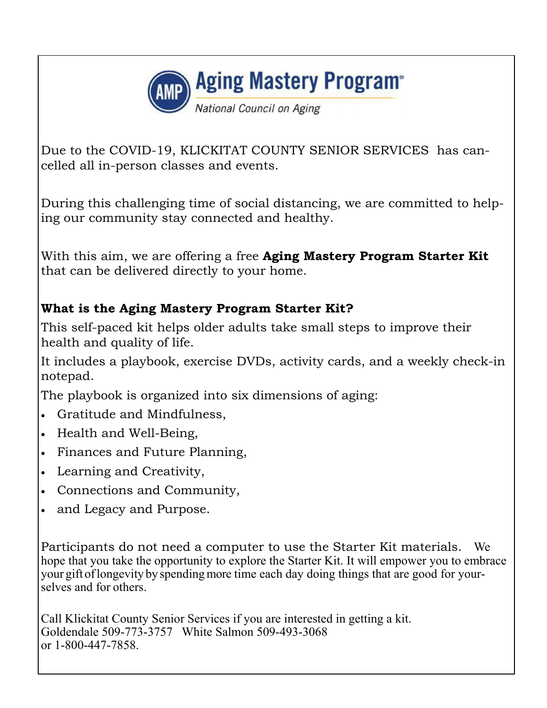

Due to the COVID-19, KLICKITAT COUNTY SENIOR SERVICES has cancelled all in-person classes and events.

During this challenging time of social distancing, we are committed to helping our community stay connected and healthy.

With this aim, we are offering a free **Aging Mastery Program Starter Kit** that can be delivered directly to your home.

#### **What is the Aging Mastery Program Starter Kit?**

This self-paced kit helps older adults take small steps to improve their health and quality of life.

It includes a playbook, exercise DVDs, activity cards, and a weekly check-in notepad.

The playbook is organized into six dimensions of aging:

- Gratitude and Mindfulness,
- Health and Well-Being,
- Finances and Future Planning,
- Learning and Creativity,
- Connections and Community,
- and Legacy and Purpose.

Participants do not need a computer to use the Starter Kit materials. We hope that you take the opportunity to explore the Starter Kit. It will empower you to embrace your gift of longevity by spending more time each day doing things that are good for yourselves and for others.

Call Klickitat County Senior Services if you are interested in getting a kit. Goldendale 509-773-3757 White Salmon 509-493-3068 or 1-800-447-7858.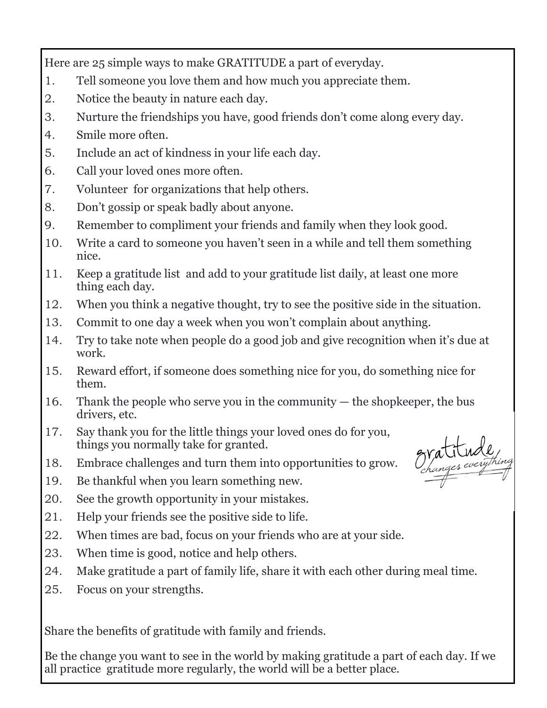Here are 25 simple ways to make GRATITUDE a part of everyday.

- 1. Tell someone you love them and how much you appreciate them.
- 2. Notice the beauty in nature each day.
- 3. Nurture the friendships you have, good friends don't come along every day.
- 4. Smile more often.
- 5. Include an act of kindness in your life each day.
- 6. Call your loved ones more often.
- 7. Volunteer for organizations that help others.
- 8. Don't gossip or speak badly about anyone.
- 9. Remember to compliment your friends and family when they look good.
- 10. Write a card to someone you haven't seen in a while and tell them something nice.
- 11. Keep a gratitude list and add to your gratitude list daily, at least one more thing each day.
- 12. When you think a negative thought, try to see the positive side in the situation.
- 13. Commit to one day a week when you won't complain about anything.
- 14. Try to take note when people do a good job and give recognition when it's due at work.
- 15. Reward effort, if someone does something nice for you, do something nice for them.
- 16. Thank the people who serve you in the community the shopkeeper, the bus drivers, etc.
- 17. Say thank you for the little things your loved ones do for you, things you normally take for granted.
- 18. Embrace challenges and turn them into opportunities to grow.
- 19. Be thankful when you learn something new.
- 20. See the growth opportunity in your mistakes.
- 21. Help your friends see the positive side to life.
- 22. When times are bad, focus on your friends who are at your side.
- 23. When time is good, notice and help others.
- 24. Make gratitude a part of family life, share it with each other during meal time.
- 25. Focus on your strengths.

Share the benefits of gratitude with family and friends.

Be the change you want to see in the world by making gratitude a part of each day. If we all practice gratitude more regularly, the world will be a better place.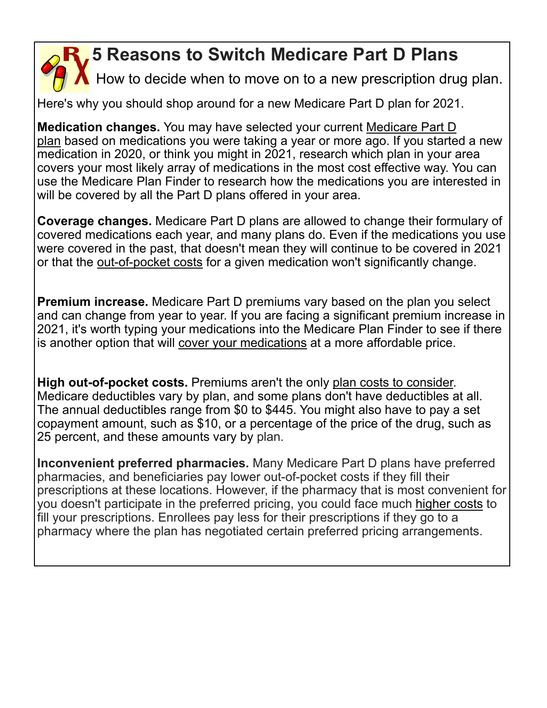## **5 Reasons to Switch Medicare Part D Plans**

How to decide when to move on to a new prescription drug plan.

Here's why you should shop around for a new Medicare Part D plan for 2021.

**Medication changes.** You may have selected your current Medicare Part D plan based on medications you were taking a year or more ago. If you started a new medication in 2020, or think you might in 2021, research which plan in your area covers your most likely array of medications in the most cost effective way. You can use the Medicare Plan Finder to research how the medications you are interested in will be covered by all the Part D plans offered in your area.

**Coverage changes.** Medicare Part D plans are allowed to change their formulary of covered medications each year, and many plans do. Even if the medications you use were covered in the past, that doesn't mean they will continue to be covered in 2021 or that the out-of-pocket costs for a given medication won't significantly change.

**Premium increase.** Medicare Part D premiums vary based on the plan you select and can change from year to year. If you are facing a significant premium increase in 2021, it's worth typing your medications into the Medicare Plan Finder to see if there is another option that will cover your medications at a more affordable price.

**High out-of-pocket costs.** Premiums aren't the only plan costs to consider. Medicare deductibles vary by plan, and some plans don't have deductibles at all. The annual deductibles range from \$0 to \$445. You might also have to pay a set copayment amount, such as \$10, or a percentage of the price of the drug, such as 25 percent, and these amounts vary by plan.

**Inconvenient preferred pharmacies.** Many Medicare Part D plans have preferred pharmacies, and beneficiaries pay lower out-of-pocket costs if they fill their prescriptions at these locations. However, if the pharmacy that is most convenient for you doesn't participate in the preferred pricing, you could face much higher costs to fill your prescriptions. Enrollees pay less for their prescriptions if they go to a pharmacy where the plan has negotiated certain preferred pricing arrangements.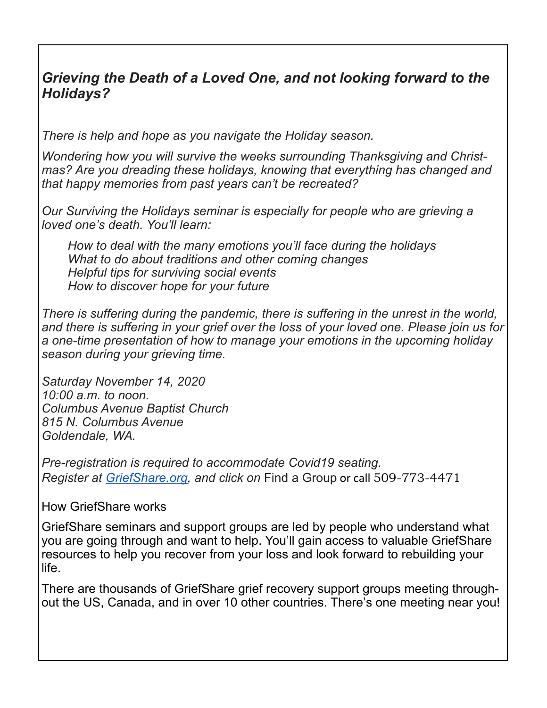#### *Grieving the Death of a Loved One, and not looking forward to the Holidays?*

*There is help and hope as you navigate the Holiday season.*

*Wondering how you will survive the weeks surrounding Thanksgiving and Christmas? Are you dreading these holidays, knowing that everything has changed and that happy memories from past years can't be recreated?*

*Our Surviving the Holidays seminar is especially for people who are grieving a loved one's death. You'll learn:*

*How to deal with the many emotions you'll face during the holidays What to do about traditions and other coming changes Helpful tips for surviving social events How to discover hope for your future* 

*There is suffering during the pandemic, there is suffering in the unrest in the world, and there is suffering in your grief over the loss of your loved one. Please join us for a one-time presentation of how to manage your emotions in the upcoming holiday season during your grieving time.* 

*Saturday November 14, 2020 10:00 a.m. to noon. Columbus Avenue Baptist Church 815 N. Columbus Avenue Goldendale, WA.*

*Pre-registration is required to accommodate Covid19 seating. Register at GriefShare.org, and click on* Find a Group or call 509-773-4471

#### How GriefShare works

GriefShare seminars and support groups are led by people who understand what you are going through and want to help. You'll gain access to valuable GriefShare resources to help you recover from your loss and look forward to rebuilding your life.

There are thousands of GriefShare grief recovery support groups meeting throughout the US, Canada, and in over 10 other countries. There's one meeting near you!